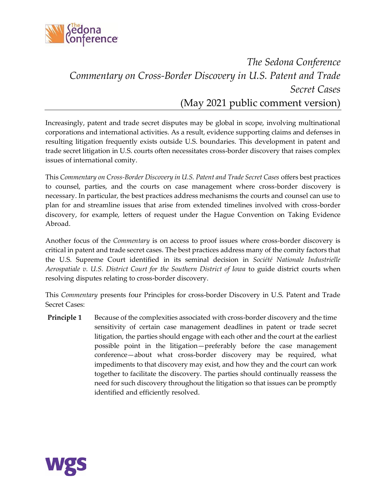

## *The Sedona Conference Commentary on Cross-Border Discovery in U.S. Patent and Trade Secret Cases* (May 2021 public comment version)

Increasingly, patent and trade secret disputes may be global in scope, involving multinational corporations and international activities. As a result, evidence supporting claims and defenses in resulting litigation frequently exists outside U.S. boundaries. This development in patent and trade secret litigation in U.S. courts often necessitates cross-border discovery that raises complex issues of international comity.

This *Commentary on Cross-Border Discovery in U.S. Patent and Trade Secret Cases* offers best practices to counsel, parties, and the courts on case management where cross-border discovery is necessary. In particular, the best practices address mechanisms the courts and counsel can use to plan for and streamline issues that arise from extended timelines involved with cross-border discovery, for example, letters of request under the Hague Convention on Taking Evidence Abroad.

Another focus of the *Commentary* is on access to proof issues where cross-border discovery is critical in patent and trade secret cases. The best practices address many of the comity factors that the U.S. Supreme Court identified in its seminal decision in *Société Nationale Industrielle Aerospatiale v. U.S. District Court for the Southern District of Iowa* to guide district courts when resolving disputes relating to cross-border discovery.

This *Commentary* presents four Principles for cross-border Discovery in U.S. Patent and Trade Secret Cases:

**Principle 1** Because of the complexities associated with cross-border discovery and the time sensitivity of certain case management deadlines in patent or trade secret litigation, the parties should engage with each other and the court at the earliest possible point in the litigation—preferably before the case management conference—about what cross-border discovery may be required, what impediments to that discovery may exist, and how they and the court can work together to facilitate the discovery. The parties should continually reassess the need for such discovery throughout the litigation so that issues can be promptly identified and efficiently resolved.